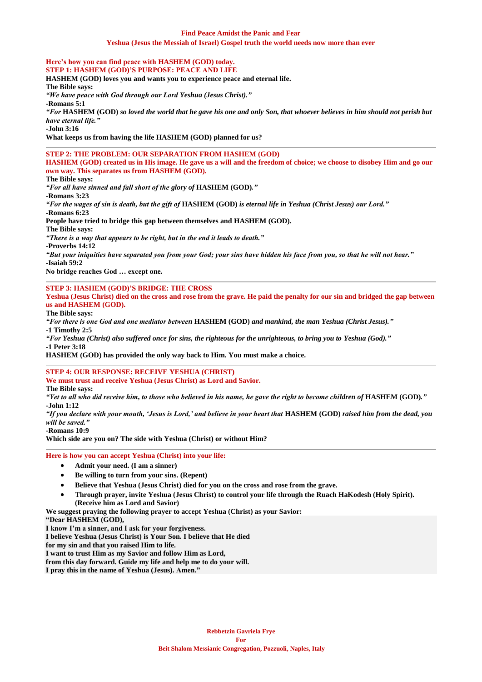#### **Find Peace Amidst the Panic and Fear Yeshua (Jesus the Messiah of Israel) Gospel truth the world needs now more than ever**

**Here's how you can find peace with HASHEM (GOD) today. STEP 1: HASHEM (GOD)'S PURPOSE: PEACE AND LIFE HASHEM (GOD) loves you and wants you to experience peace and eternal life. The Bible says:** *"We have peace with God through our Lord Yeshua (Jesus Christ)."* **-Romans 5:1** *"For* **HASHEM (GOD)** *so loved the world that he gave his one and only Son, that whoever believes in him should not perish but have eternal life."* **-John 3:16 What keeps us from having the life HASHEM (GOD) planned for us? STEP 2: THE PROBLEM: OUR SEPARATION FROM HASHEM (GOD) HASHEM (GOD) created us in His image. He gave us a will and the freedom of choice; we choose to disobey Him and go our own way. This separates us from HASHEM (GOD). The Bible says:** *"For all have sinned and fall short of the glory of* **HASHEM (GOD)***."* **-Romans 3:23** *"For the wages of sin is death, but the gift of* **HASHEM (GOD)** *is eternal life in Yeshua (Christ Jesus) our Lord."* **-Romans 6:23 People have tried to bridge this gap between themselves and HASHEM (GOD). The Bible says:** *"There is a way that appears to be right, but in the end it leads to death."* **-Proverbs 14:12** *"But your iniquities have separated you from your God; your sins have hidden his face from you, so that he will not hear."* **-Isaiah 59:2 No bridge reaches God … except one.**

#### **STEP 3: HASHEM (GOD)'S BRIDGE: THE CROSS**

**Yeshua (Jesus Christ) died on the cross and rose from the grave. He paid the penalty for our sin and bridged the gap between us and HASHEM (GOD).**

**The Bible says:**

*"For there is one God and one mediator between* **HASHEM (GOD)** *and mankind, the man Yeshua (Christ Jesus)."* **-1 Timothy 2:5**

*"For Yeshua (Christ) also suffered once for sins, the righteous for the unrighteous, to bring you to Yeshua (God)."* **-1 Peter 3:18**

**HASHEM (GOD) has provided the only way back to Him. You must make a choice.**

**STEP 4: OUR RESPONSE: RECEIVE YESHUA (CHRIST)**

**We must trust and receive Yeshua (Jesus Christ) as Lord and Savior.**

**The Bible says:**

*"Yet to all who did receive him, to those who believed in his name, he gave the right to become children of* **HASHEM (GOD)***."* **-John 1:12**

*"If you declare with your mouth, 'Jesus is Lord,' and believe in your heart that* **HASHEM (GOD)** *raised him from the dead, you will be saved."*

**-Romans 10:9**

**Which side are you on? The side with Yeshua (Christ) or without Him?**

#### **Here is how you can accept Yeshua (Christ) into your life:**

- **Admit your need. (I am a sinner)**
- **Be willing to turn from your sins. (Repent)**
- **Believe that Yeshua (Jesus Christ) died for you on the cross and rose from the grave.**
- **Through prayer, invite Yeshua (Jesus Christ) to control your life through the Ruach HaKodesh (Holy Spirit). (Receive him as Lord and Savior)**

**We suggest praying the following prayer to accept Yeshua (Christ) as your Savior:**

**"Dear HASHEM (GOD),**

**I know I'm a sinner, and I ask for your forgiveness.**

**I believe Yeshua (Jesus Christ) is Your Son. I believe that He died**

**for my sin and that you raised Him to life.**

**I want to trust Him as my Savior and follow Him as Lord,**

**from this day forward. Guide my life and help me to do your will.**

**I pray this in the name of Yeshua (Jesus). Amen."**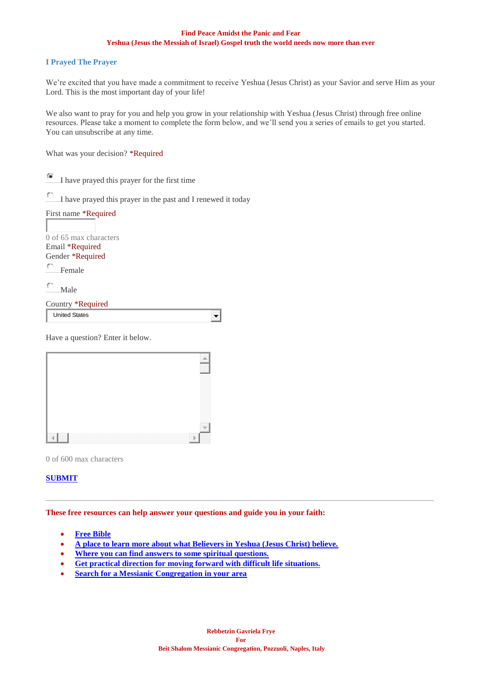## **Find Peace Amidst the Panic and Fear Yeshua (Jesus the Messiah of Israel) Gospel truth the world needs now more than ever**

#### **I Prayed The Prayer**

We're excited that you have made a commitment to receive Yeshua (Jesus Christ) as your Savior and serve Him as your Lord. This is the most important day of your life!

We also want to pray for you and help you grow in your relationship with Yeshua (Jesus Christ) through free online resources. Please take a moment to complete the form below, and we'll send you a series of emails to get you started. You can unsubscribe at any time.

 $\overline{\phantom{a}}$ 

What was your decision? \*Required

僮 I have prayed this prayer for the first time

 $\circ$ I have prayed this prayer in the past and I renewed it today

| First name *Required   |
|------------------------|
|                        |
| 0 of 65 max characters |
| Email *Required        |
| Gender *Required       |
| $\Box$ Female          |
|                        |

Male

| Country *Required     |  |
|-----------------------|--|
| <b>Ilpited Ctates</b> |  |

| United States |  |  |
|---------------|--|--|
|               |  |  |

Have a question? Enter it below.

| . | 888<br>,,,,,,,,, |
|---|------------------|

0 of 600 max characters

# **[SUBMIT](mailto:vohjm2013@gmail.com?subject=SUBMIT)**

### **These free resources can help answer your questions and guide you in your faith:**

- **[Free Bible](https://play.google.com/store/apps/details?id=com.tlvsource&hl=en_US)**
- **[A place to learn more about what Believers in Yeshua \(Jesus Christ\) believe.](https://villageofhopejusticeministry.org/what-is-messianic-judaism-cose-il-giudaismo-messianico/)**
- **[Where you can find answers to some spiritual questions.](https://villageofhopejusticeministry.org/messianic-resources/)**
- **[Get practical direction for moving forward with difficult life situations.](https://villageofhopejusticeministry.org/a-daily-nudge-un-incoraggiamento-giornaliero/)**
- **[Search for a Messianic Congregation in your area](https://iamcs.org/congregations)**

 $\_$  ,  $\_$  ,  $\_$  ,  $\_$  ,  $\_$  ,  $\_$  ,  $\_$  ,  $\_$  ,  $\_$  ,  $\_$  ,  $\_$  ,  $\_$  ,  $\_$  ,  $\_$  ,  $\_$  ,  $\_$  ,  $\_$  ,  $\_$  ,  $\_$  ,  $\_$  ,  $\_$  ,  $\_$  ,  $\_$  ,  $\_$  ,  $\_$  ,  $\_$  ,  $\_$  ,  $\_$  ,  $\_$  ,  $\_$  ,  $\_$  ,  $\_$  ,  $\_$  ,  $\_$  ,  $\_$  ,  $\_$  ,  $\_$  ,